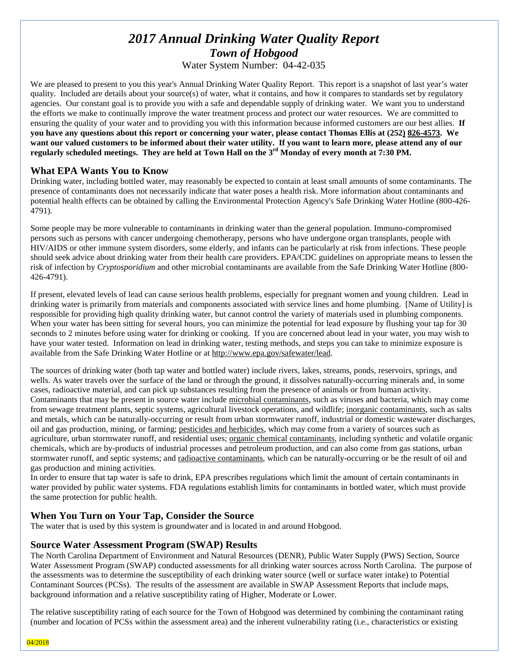# *2017 Annual Drinking Water Quality Report Town of Hobgood*

Water System Number: 04-42-035

We are pleased to present to you this year's Annual Drinking Water Quality Report. This report is a snapshot of last year's water quality. Included are details about your source(s) of water, what it contains, and how it compares to standards set by regulatory agencies. Our constant goal is to provide you with a safe and dependable supply of drinking water. We want you to understand the efforts we make to continually improve the water treatment process and protect our water resources. We are committed to ensuring the quality of your water and to providing you with this information because informed customers are our best allies. **If you have any questions about this report or concerning your water, please contact Thomas Ellis at (252) 826-4573. We want our valued customers to be informed about their water utility. If you want to learn more, please attend any of our regularly scheduled meetings. They are held at Town Hall on the 3rd Monday of every month at 7:30 PM.**

## **What EPA Wants You to Know**

Drinking water, including bottled water, may reasonably be expected to contain at least small amounts of some contaminants. The presence of contaminants does not necessarily indicate that water poses a health risk. More information about contaminants and potential health effects can be obtained by calling the Environmental Protection Agency's Safe Drinking Water Hotline (800-426- 4791).

Some people may be more vulnerable to contaminants in drinking water than the general population. Immuno-compromised persons such as persons with cancer undergoing chemotherapy, persons who have undergone organ transplants, people with HIV/AIDS or other immune system disorders, some elderly, and infants can be particularly at risk from infections. These people should seek advice about drinking water from their health care providers. EPA/CDC guidelines on appropriate means to lessen the risk of infection by *Cryptosporidium* and other microbial contaminants are available from the Safe Drinking Water Hotline (800- 426-4791).

If present, elevated levels of lead can cause serious health problems, especially for pregnant women and young children. Lead in drinking water is primarily from materials and components associated with service lines and home plumbing. [Name of Utility] is responsible for providing high quality drinking water, but cannot control the variety of materials used in plumbing components. When your water has been sitting for several hours, you can minimize the potential for lead exposure by flushing your tap for 30 seconds to 2 minutes before using water for drinking or cooking. If you are concerned about lead in your water, you may wish to have your water tested. Information on lead in drinking water, testing methods, and steps you can take to minimize exposure is available from the Safe Drinking Water Hotline or at [http://www.epa.gov/safewater/lead.](http://www.epa.gov/safewater/lead)

The sources of drinking water (both tap water and bottled water) include rivers, lakes, streams, ponds, reservoirs, springs, and wells. As water travels over the surface of the land or through the ground, it dissolves naturally-occurring minerals and, in some cases, radioactive material, and can pick up substances resulting from the presence of animals or from human activity. Contaminants that may be present in source water include microbial contaminants, such as viruses and bacteria, which may come from sewage treatment plants, septic systems, agricultural livestock operations, and wildlife; inorganic contaminants, such as salts and metals, which can be naturally-occurring or result from urban stormwater runoff, industrial or domestic wastewater discharges, oil and gas production, mining, or farming; pesticides and herbicides, which may come from a variety of sources such as agriculture, urban stormwater runoff, and residential uses; organic chemical contaminants, including synthetic and volatile organic chemicals, which are by-products of industrial processes and petroleum production, and can also come from gas stations, urban stormwater runoff, and septic systems; and radioactive contaminants, which can be naturally-occurring or be the result of oil and gas production and mining activities.

In order to ensure that tap water is safe to drink, EPA prescribes regulations which limit the amount of certain contaminants in water provided by public water systems. FDA regulations establish limits for contaminants in bottled water, which must provide the same protection for public health.

# **When You Turn on Your Tap, Consider the Source**

The water that is used by this system is groundwater and is located in and around Hobgood.

# **Source Water Assessment Program (SWAP) Results**

The North Carolina Department of Environment and Natural Resources (DENR), Public Water Supply (PWS) Section, Source Water Assessment Program (SWAP) conducted assessments for all drinking water sources across North Carolina. The purpose of the assessments was to determine the susceptibility of each drinking water source (well or surface water intake) to Potential Contaminant Sources (PCSs). The results of the assessment are available in SWAP Assessment Reports that include maps, background information and a relative susceptibility rating of Higher, Moderate or Lower.

The relative susceptibility rating of each source for the Town of Hobgood was determined by combining the contaminant rating (number and location of PCSs within the assessment area) and the inherent vulnerability rating (i.e., characteristics or existing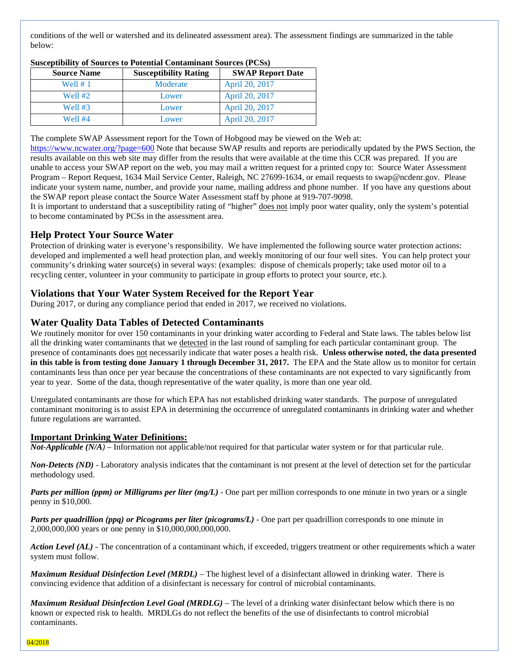conditions of the well or watershed and its delineated assessment area). The assessment findings are summarized in the table below:

| <b>Source Name</b> | <b>Susceptibility Rating</b> | <b>SWAP Report Date</b> |
|--------------------|------------------------------|-------------------------|
| Well # 1           | Moderate                     | April 20, 2017          |
| Well #2            | Lower                        | April 20, 2017          |
| Well #3            | Lower                        | April 20, 2017          |
| Well #4            | Lower                        | April 20, 2017          |

#### **Susceptibility of Sources to Potential Contaminant Sources (PCSs)**

The complete SWAP Assessment report for the Town of Hobgood may be viewed on the Web at:

<https://www.ncwater.org/?page=600> Note that because SWAP results and reports are periodically updated by the PWS Section, the results available on this web site may differ from the results that were available at the time this CCR was prepared. If you are unable to access your SWAP report on the web, you may mail a written request for a printed copy to: Source Water Assessment Program – Report Request, 1634 Mail Service Center, Raleigh, NC 27699-1634, or email requests to swap@ncdenr.gov. Please indicate your system name, number, and provide your name, mailing address and phone number. If you have any questions about the SWAP report please contact the Source Water Assessment staff by phone at 919-707-9098.

It is important to understand that a susceptibility rating of "higher" does not imply poor water quality, only the system's potential to become contaminated by PCSs in the assessment area.

## **Help Protect Your Source Water**

Protection of drinking water is everyone's responsibility. We have implemented the following source water protection actions: developed and implemented a well head protection plan, and weekly monitoring of our four well sites. You can help protect your community's drinking water source(s) in several ways: (examples: dispose of chemicals properly; take used motor oil to a recycling center, volunteer in your community to participate in group efforts to protect your source, etc.).

## **Violations that Your Water System Received for the Report Year**

During 2017, or during any compliance period that ended in 2017, we received no violations.

## **Water Quality Data Tables of Detected Contaminants**

We routinely monitor for over 150 contaminants in your drinking water according to Federal and State laws. The tables below list all the drinking water contaminants that we detected in the last round of sampling for each particular contaminant group. The presence of contaminants does not necessarily indicate that water poses a health risk. **Unless otherwise noted, the data presented in this table is from testing done January 1 through December 31, 2017.** The EPA and the State allow us to monitor for certain contaminants less than once per year because the concentrations of these contaminants are not expected to vary significantly from year to year. Some of the data, though representative of the water quality, is more than one year old.

Unregulated contaminants are those for which EPA has not established drinking water standards. The purpose of unregulated contaminant monitoring is to assist EPA in determining the occurrence of unregulated contaminants in drinking water and whether future regulations are warranted.

## **Important Drinking Water Definitions:**

*Not-Applicable (N/A)* – Information not applicable/not required for that particular water system or for that particular rule.

*Non-Detects (ND)* - Laboratory analysis indicates that the contaminant is not present at the level of detection set for the particular methodology used.

*Parts per million (ppm) or Milligrams per liter (mg/L)* - One part per million corresponds to one minute in two years or a single penny in \$10,000.

*Parts per quadrillion (ppq) or Picograms per liter (picograms/L)* - One part per quadrillion corresponds to one minute in 2,000,000,000 years or one penny in \$10,000,000,000,000.

*Action Level (AL) -* The concentration of a contaminant which, if exceeded, triggers treatment or other requirements which a water system must follow.

*Maximum Residual Disinfection Level (MRDL)* – The highest level of a disinfectant allowed in drinking water. There is convincing evidence that addition of a disinfectant is necessary for control of microbial contaminants.

*Maximum Residual Disinfection Level Goal (MRDLG)* – The level of a drinking water disinfectant below which there is no known or expected risk to health. MRDLGs do not reflect the benefits of the use of disinfectants to control microbial contaminants.